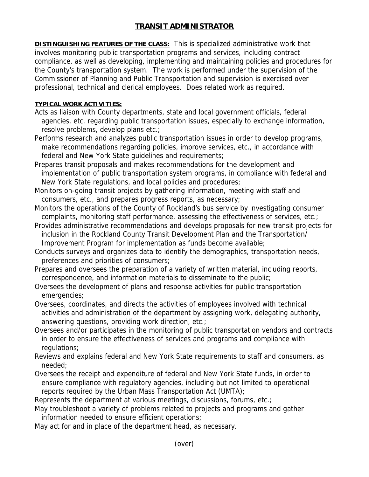## **TRANSIT ADMINISTRATOR**

**DISTINGUISHING FEATURES OF THE CLASS:** This is specialized administrative work that involves monitoring public transportation programs and services, including contract compliance, as well as developing, implementing and maintaining policies and procedures for the County's transportation system. The work is performed under the supervision of the Commissioner of Planning and Public Transportation and supervision is exercised over professional, technical and clerical employees. Does related work as required.

## **TYPICAL WORK ACTIVITIES:**

- Acts as liaison with County departments, state and local government officials, federal agencies, etc. regarding public transportation issues, especially to exchange information, resolve problems, develop plans etc.;
- Performs research and analyzes public transportation issues in order to develop programs, make recommendations regarding policies, improve services, etc., in accordance with federal and New York State guidelines and requirements;
- Prepares transit proposals and makes recommendations for the development and implementation of public transportation system programs, in compliance with federal and New York State regulations, and local policies and procedures;
- Monitors on-going transit projects by gathering information, meeting with staff and consumers, etc., and prepares progress reports, as necessary;
- Monitors the operations of the County of Rockland's bus service by investigating consumer complaints, monitoring staff performance, assessing the effectiveness of services, etc.;
- Provides administrative recommendations and develops proposals for new transit projects for inclusion in the Rockland County Transit Development Plan and the Transportation/ Improvement Program for implementation as funds become available;
- Conducts surveys and organizes data to identify the demographics, transportation needs, preferences and priorities of consumers;
- Prepares and oversees the preparation of a variety of written material, including reports, correspondence, and information materials to disseminate to the public;
- Oversees the development of plans and response activities for public transportation emergencies;
- Oversees, coordinates, and directs the activities of employees involved with technical activities and administration of the department by assigning work, delegating authority, answering questions, providing work direction, etc.;
- Oversees and/or participates in the monitoring of public transportation vendors and contracts in order to ensure the effectiveness of services and programs and compliance with regulations;
- Reviews and explains federal and New York State requirements to staff and consumers, as needed;
- Oversees the receipt and expenditure of federal and New York State funds, in order to ensure compliance with regulatory agencies, including but not limited to operational reports required by the Urban Mass Transportation Act (UMTA);

Represents the department at various meetings, discussions, forums, etc.;

- May troubleshoot a variety of problems related to projects and programs and gather information needed to ensure efficient operations;
- May act for and in place of the department head, as necessary.